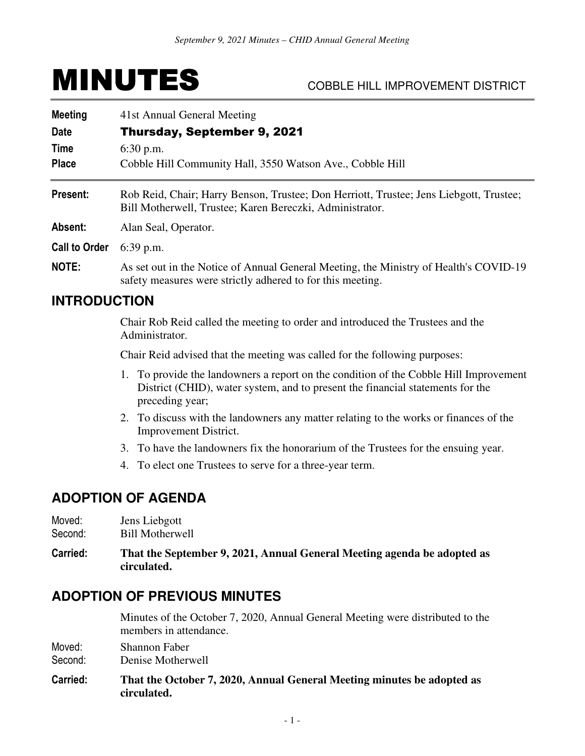# MINUTES COBBLE HILL IMPROVEMENT DISTRICT

| <b>Meeting</b><br>Date<br>Time<br><b>Place</b> | 41st Annual General Meeting<br><b>Thursday, September 9, 2021</b><br>$6:30$ p.m.<br>Cobble Hill Community Hall, 3550 Watson Ave., Cobble Hill       |  |
|------------------------------------------------|-----------------------------------------------------------------------------------------------------------------------------------------------------|--|
| Present:                                       | Rob Reid, Chair; Harry Benson, Trustee; Don Herriott, Trustee; Jens Liebgott, Trustee;<br>Bill Motherwell, Trustee; Karen Bereczki, Administrator.  |  |
| Absent:                                        | Alan Seal, Operator.                                                                                                                                |  |
| <b>Call to Order</b>                           | $6:39$ p.m.                                                                                                                                         |  |
| NOTE:                                          | As set out in the Notice of Annual General Meeting, the Ministry of Health's COVID-19<br>safety measures were strictly adhered to for this meeting. |  |
| <b>INTRODUCTION</b>                            |                                                                                                                                                     |  |

 Chair Rob Reid called the meeting to order and introduced the Trustees and the Administrator.

Chair Reid advised that the meeting was called for the following purposes:

- 1. To provide the landowners a report on the condition of the Cobble Hill Improvement District (CHID), water system, and to present the financial statements for the preceding year;
- 2. To discuss with the landowners any matter relating to the works or finances of the Improvement District.
- 3. To have the landowners fix the honorarium of the Trustees for the ensuing year.
- 4. To elect one Trustees to serve for a three-year term.

# **ADOPTION OF AGENDA**

- Moved: Jens Liebgott
- Second: Bill Motherwell
- **Carried: That the September 9, 2021, Annual General Meeting agenda be adopted as circulated.**

# **ADOPTION OF PREVIOUS MINUTES**

 Minutes of the October 7, 2020, Annual General Meeting were distributed to the members in attendance.

Moved: Shannon Faber

Second: Denise Motherwell

**Carried: That the October 7, 2020, Annual General Meeting minutes be adopted as circulated.**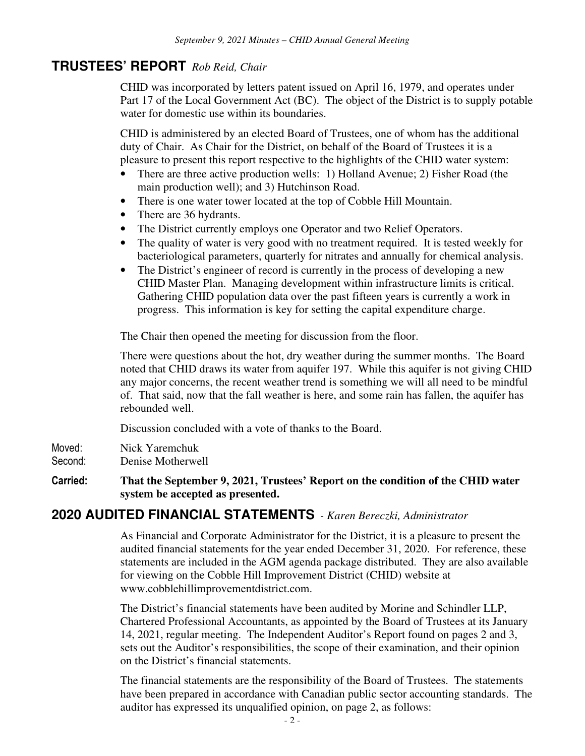# **TRUSTEES' REPORT** *Rob Reid, Chair*

CHID was incorporated by letters patent issued on April 16, 1979, and operates under Part 17 of the Local Government Act (BC). The object of the District is to supply potable water for domestic use within its boundaries. ľ

CHID is administered by an elected Board of Trustees, one of whom has the additional duty of Chair. As Chair for the District, on behalf of the Board of Trustees it is a pleasure to present this report respective to the highlights of the CHID water system:

- There are three active production wells: 1) Holland Avenue; 2) Fisher Road (the main production well); and 3) Hutchinson Road.
- There is one water tower located at the top of Cobble Hill Mountain.
- There are 36 hydrants.
- The District currently employs one Operator and two Relief Operators.
- The quality of water is very good with no treatment required. It is tested weekly for bacteriological parameters, quarterly for nitrates and annually for chemical analysis.
- The District's engineer of record is currently in the process of developing a new CHID Master Plan. Managing development within infrastructure limits is critical. Gathering CHID population data over the past fifteen years is currently a work in progress. This information is key for setting the capital expenditure charge.

The Chair then opened the meeting for discussion from the floor.

There were questions about the hot, dry weather during the summer months. The Board noted that CHID draws its water from aquifer 197. While this aquifer is not giving CHID any major concerns, the recent weather trend is something we will all need to be mindful of. That said, now that the fall weather is here, and some rain has fallen, the aquifer has rebounded well.

Discussion concluded with a vote of thanks to the Board.

- Moved: Nick Yaremchuk
- Second: Denise Motherwell
- **Carried: That the September 9, 2021, Trustees' Report on the condition of the CHID water system be accepted as presented.**

# **2020 AUDITED FINANCIAL STATEMENTS** *- Karen Bereczki, Administrator*

As Financial and Corporate Administrator for the District, it is a pleasure to present the audited financial statements for the year ended December 31, 2020. For reference, these statements are included in the AGM agenda package distributed. They are also available for viewing on the Cobble Hill Improvement District (CHID) website at www.cobblehillimprovementdistrict.com.

The District's financial statements have been audited by Morine and Schindler LLP, Chartered Professional Accountants, as appointed by the Board of Trustees at its January 14, 2021, regular meeting. The Independent Auditor's Report found on pages 2 and 3, sets out the Auditor's responsibilities, the scope of their examination, and their opinion on the District's financial statements.

The financial statements are the responsibility of the Board of Trustees. The statements have been prepared in accordance with Canadian public sector accounting standards. The auditor has expressed its unqualified opinion, on page 2, as follows: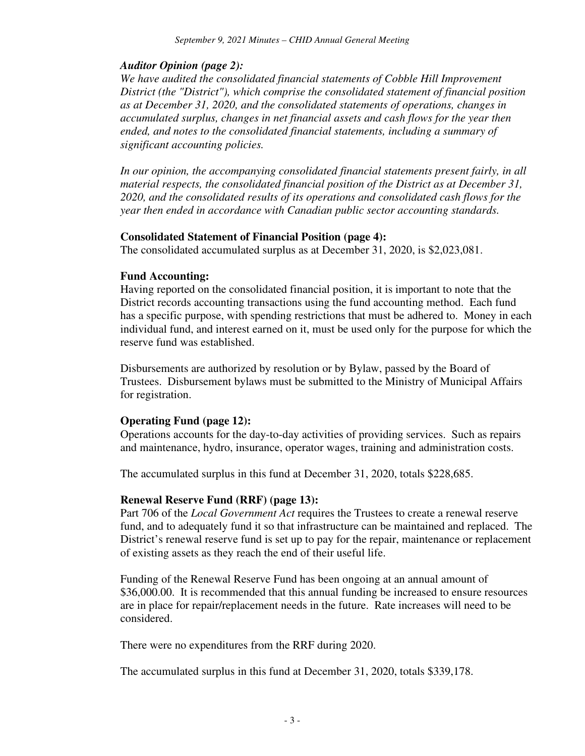### *Auditor Opinion (page 2):*

*We have audited the consolidated financial statements of Cobble Hill Improvement District (the "District"), which comprise the consolidated statement of financial position as at December 31, 2020, and the consolidated statements of operations, changes in accumulated surplus, changes in net financial assets and cash flows for the year then ended, and notes to the consolidated financial statements, including a summary of significant accounting policies.* 

*In our opinion, the accompanying consolidated financial statements present fairly, in all material respects, the consolidated financial position of the District as at December 31, 2020, and the consolidated results of its operations and consolidated cash flows for the year then ended in accordance with Canadian public sector accounting standards.* 

#### **Consolidated Statement of Financial Position (page 4):**

The consolidated accumulated surplus as at December 31, 2020, is \$2,023,081.

#### **Fund Accounting:**

Having reported on the consolidated financial position, it is important to note that the District records accounting transactions using the fund accounting method. Each fund has a specific purpose, with spending restrictions that must be adhered to. Money in each individual fund, and interest earned on it, must be used only for the purpose for which the reserve fund was established.

Disbursements are authorized by resolution or by Bylaw, passed by the Board of Trustees. Disbursement bylaws must be submitted to the Ministry of Municipal Affairs for registration.

#### **Operating Fund (page 12):**

Operations accounts for the day-to-day activities of providing services. Such as repairs and maintenance, hydro, insurance, operator wages, training and administration costs.

The accumulated surplus in this fund at December 31, 2020, totals \$228,685.

#### **Renewal Reserve Fund (RRF) (page 13):**

Part 706 of the *Local Government Act* requires the Trustees to create a renewal reserve fund, and to adequately fund it so that infrastructure can be maintained and replaced. The District's renewal reserve fund is set up to pay for the repair, maintenance or replacement of existing assets as they reach the end of their useful life.

Funding of the Renewal Reserve Fund has been ongoing at an annual amount of \$36,000.00. It is recommended that this annual funding be increased to ensure resources are in place for repair/replacement needs in the future. Rate increases will need to be considered.

There were no expenditures from the RRF during 2020.

The accumulated surplus in this fund at December 31, 2020, totals \$339,178.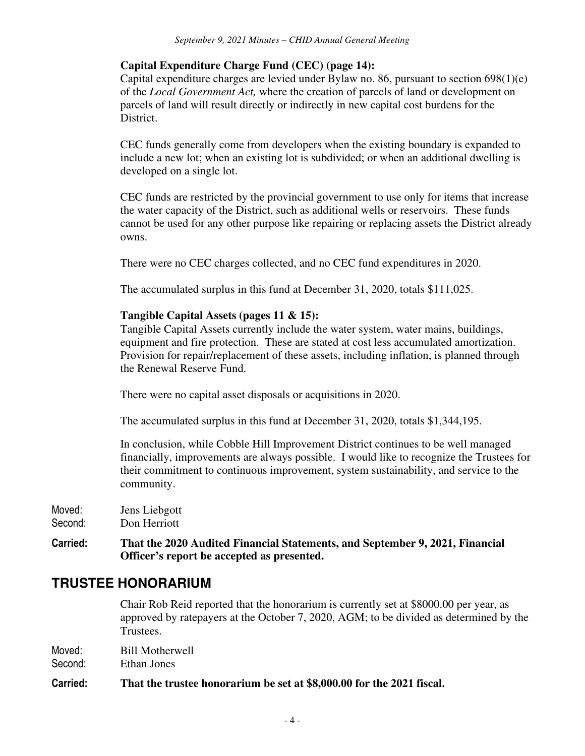### **Capital Expenditure Charge Fund (CEC) (page 14):**

Capital expenditure charges are levied under Bylaw no. 86, pursuant to section 698(1)(e) of the *Local Government Act,* where the creation of parcels of land or development on parcels of land will result directly or indirectly in new capital cost burdens for the District.

CEC funds generally come from developers when the existing boundary is expanded to include a new lot; when an existing lot is subdivided; or when an additional dwelling is developed on a single lot.

CEC funds are restricted by the provincial government to use only for items that increase the water capacity of the District, such as additional wells or reservoirs. These funds cannot be used for any other purpose like repairing or replacing assets the District already owns.

There were no CEC charges collected, and no CEC fund expenditures in 2020.

The accumulated surplus in this fund at December 31, 2020, totals \$111,025.

#### **Tangible Capital Assets (pages 11 & 15):**

Tangible Capital Assets currently include the water system, water mains, buildings, equipment and fire protection. These are stated at cost less accumulated amortization. Provision for repair/replacement of these assets, including inflation, is planned through the Renewal Reserve Fund.

There were no capital asset disposals or acquisitions in 2020.

The accumulated surplus in this fund at December 31, 2020, totals \$1,344,195.

In conclusion, while Cobble Hill Improvement District continues to be well managed financially, improvements are always possible. I would like to recognize the Trustees for their commitment to continuous improvement, system sustainability, and service to the community.

Moved: Jens Liebgott Second: Don Herriott

**Carried: That the 2020 Audited Financial Statements, and September 9, 2021, Financial Officer's report be accepted as presented.** 

# **TRUSTEE HONORARIUM**

 Chair Rob Reid reported that the honorarium is currently set at \$8000.00 per year, as approved by ratepayers at the October 7, 2020, AGM; to be divided as determined by the Trustees.

| Moved:  | <b>Bill Motherwell</b> |
|---------|------------------------|
| Second: | Ethan Jones            |

#### **Carried: That the trustee honorarium be set at \$8,000.00 for the 2021 fiscal.**